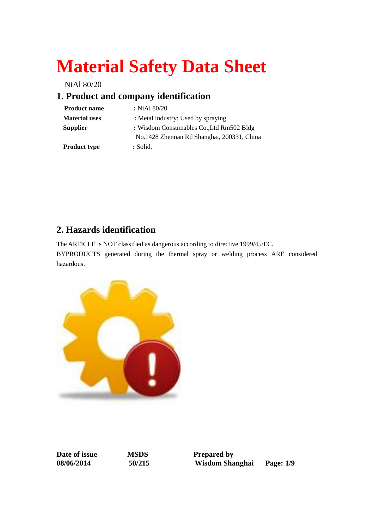# **Material Safety Data Sheet**

NiAl 80/20

# **1. Product and company identification**

| <b>Product name</b>  | : NiAl $80/20$                             |
|----------------------|--------------------------------------------|
| <b>Material uses</b> | : Metal industry: Used by spraying         |
| <b>Supplier</b>      | : Wisdom Consumables Co., Ltd Rm502 Bldg   |
|                      | No.1428 Zhennan Rd Shanghai, 200331, China |
| <b>Product type</b>  | : Solid.                                   |

## **2. Hazards identification**

The ARTICLE is NOT classified as dangerous according to directive 1999/45/EC.

BYPRODUCTS generated during the thermal spray or welding process ARE considered hazardous.



**Date of issue MSDS Prepared by** 

**08/06/2014 50/215 Wisdom Shanghai Page: 1/9**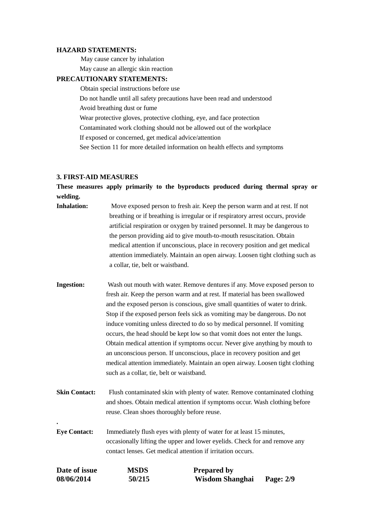#### **HAZARD STATEMENTS:**

May cause cancer by inhalation

May cause an allergic skin reaction

#### **PRECAUTIONARY STATEMENTS:**

 Obtain special instructions before use Do not handle until all safety precautions have been read and understood Avoid breathing dust or fume Wear protective gloves, protective clothing, eye, and face protection Contaminated work clothing should not be allowed out of the workplace If exposed or concerned, get medical advice/attention See Section 11 for more detailed information on health effects and symptoms

#### **3. FIRST-AID MEASURES**

**.**

**These measures apply primarily to the byproducts produced during thermal spray or welding.**

| Move exposed person to fresh air. Keep the person warm and at rest. If not      |
|---------------------------------------------------------------------------------|
| breathing or if breathing is irregular or if respiratory arrest occurs, provide |
| artificial respiration or oxygen by trained personnel. It may be dangerous to   |
|                                                                                 |
| medical attention if unconscious, place in recovery position and get medical    |
| attention immediately. Maintain an open airway. Loosen tight clothing such as   |
|                                                                                 |
|                                                                                 |

- **Ingestion:** Wash out mouth with water. Remove dentures if any. Move exposed person to fresh air. Keep the person warm and at rest. If material has been swallowed and the exposed person is conscious, give small quantities of water to drink. Stop if the exposed person feels sick as vomiting may be dangerous. Do not induce vomiting unless directed to do so by medical personnel. If vomiting occurs, the head should be kept low so that vomit does not enter the lungs. Obtain medical attention if symptoms occur. Never give anything by mouth to an unconscious person. If unconscious, place in recovery position and get medical attention immediately. Maintain an open airway. Loosen tight clothing such as a collar, tie, belt or waistband.
- **Skin Contact:** Flush contaminated skin with plenty of water. Remove contaminated clothing and shoes. Obtain medical attention if symptoms occur. Wash clothing before reuse. Clean shoes thoroughly before reuse.
- **Eye Contact:** Immediately flush eyes with plenty of water for at least 15 minutes, occasionally lifting the upper and lower eyelids. Check for and remove any contact lenses. Get medical attention if irritation occurs.

| Date of issue | MSDS   | <b>Prepared by</b> |           |
|---------------|--------|--------------------|-----------|
| 08/06/2014    | 50/215 | Wisdom Shanghai    | Page: 2/9 |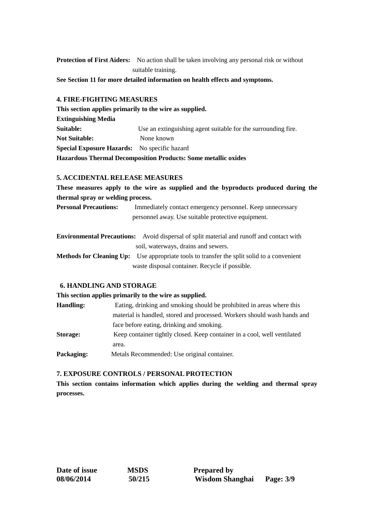**Protection of First Aiders:** No action shall be taken involving any personal risk or without suitable training.

**See Section 11 for more detailed information on health effects and symptoms.**

#### **4. FIRE-FIGHTING MEASURES**

**This section applies primarily to the wire as supplied. Extinguishing Media Suitable:** Use an extinguishing agent suitable for the surrounding fire. **Not Suitable:** None known **Special Exposure Hazards:** No specific hazard **Hazardous Thermal Decomposition Products: Some metallic oxides**

#### **5. ACCIDENTAL RELEASE MEASURES**

**These measures apply to the wire as supplied and the byproducts produced during the thermal spray or welding process.**

**Personal Precautions:** Immediately contact emergency personnel. Keep unnecessary personnel away. Use suitable protective equipment.

|           | <b>Environmental Precautions:</b> Avoid dispersal of split material and runoff and contact with |
|-----------|-------------------------------------------------------------------------------------------------|
|           | soil, waterways, drains and sewers.                                                             |
| _ _ _ _ _ |                                                                                                 |

**Methods for Cleaning Up:** Use appropriate tools to transfer the split solid to a convenient waste disposal container. Recycle if possible.

#### **6. HANDLING AND STORAGE**

#### **This section applies primarily to the wire as supplied.**

| <b>Handling:</b> | Eating, drinking and smoking should be prohibited in areas where this    |
|------------------|--------------------------------------------------------------------------|
|                  | material is handled, stored and processed. Workers should wash hands and |
|                  | face before eating, drinking and smoking.                                |
| Storage:         | Keep container tightly closed. Keep container in a cool, well ventilated |
|                  | area.                                                                    |
| Packaging:       | Metals Recommended: Use original container.                              |

#### **7. EXPOSURE CONTROLS / PERSONAL PROTECTION**

**This section contains information which applies during the welding and thermal spray processes.**

| Date of issue |  |
|---------------|--|
| 08/06/2014    |  |

**Data Islams Prepared by 08/06/2014 50/215 Wisdom Shanghai Page: 3/9**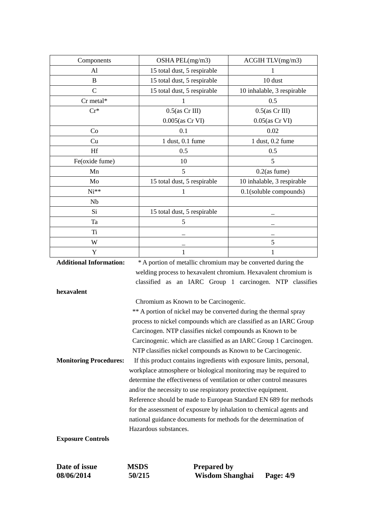| Components              | OSHA PEL(mg/m3)                                                | ACGIH TLV(mg/m3)           |
|-------------------------|----------------------------------------------------------------|----------------------------|
| Al                      | 15 total dust, 5 respirable                                    |                            |
| B                       | 15 total dust, 5 respirable                                    | 10 dust                    |
| $\mathcal{C}$           | 15 total dust, 5 respirable                                    | 10 inhalable, 3 respirable |
| $Cr$ metal*             |                                                                | 0.5                        |
| $Cr^*$                  | $0.5$ (as Cr III)                                              | $0.5$ (as Cr III)          |
|                         | $0.005$ (as Cr VI)                                             | $0.05$ (as Cr VI)          |
| Co                      | 0.1                                                            | 0.02                       |
| Cu                      | $1$ dust, $0.1$ fume                                           | 1 dust, 0.2 fume           |
| Hf                      | 0.5                                                            | 0.5                        |
| Fe(oxide fume)          | 10                                                             | 5                          |
| Mn                      | 5                                                              | $0.2$ (as fume)            |
| Mo                      | 15 total dust, 5 respirable                                    | 10 inhalable, 3 respirable |
| $Ni**$                  | 1                                                              | $0.1$ (soluble compounds)  |
| Nb                      |                                                                |                            |
| Si                      | 15 total dust, 5 respirable                                    |                            |
| Ta                      | 5                                                              |                            |
| Ti                      |                                                                |                            |
| W                       |                                                                | 5                          |
| Y                       |                                                                | 1                          |
| Additional Information: | $*$ A portion of motellic obromium may be converted during the |                            |

**Additional Information:** \* A portion of metallic chromium may be converted during the welding process to hexavalent chromium. Hexavalent chromium is classified as an IARC Group 1 carcinogen. NTP classifies **hexavalent**  Chromium as Known to be Carcinogenic. \*\* A portion of nickel may be converted during the thermal spray process to nickel compounds which are classified as an IARC Group Carcinogen. NTP classifies nickel compounds as Known to be Carcinogenic. which are classified as an IARC Group 1 Carcinogen. NTP classifies nickel compounds as Known to be Carcinogenic. **Monitoring Procedures:** If this product contains ingredients with exposure limits, personal, workplace atmosphere or biological monitoring may be required to determine the effectiveness of ventilation or other control measures and/or the necessity to use respiratory protective equipment. Reference should be made to European Standard EN 689 for methods for the assessment of exposure by inhalation to chemical agents and national guidance documents for methods for the determination of Hazardous substances. **Exposure Controls**

**Date of issue MSDS Prepared by** 

**08/06/2014 50/215 Wisdom Shanghai Page: 4/9**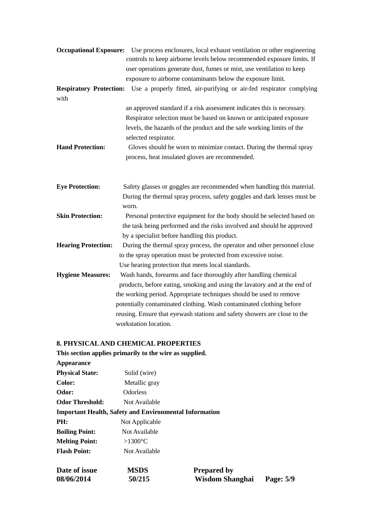|                                | <b>Occupational Exposure:</b> Use process enclosures, local exhaust ventilation or other engineering<br>controls to keep airborne levels below recommended exposure limits. If<br>user operations generate dust, fumes or mist, use ventilation to keep<br>exposure to airborne contaminants below the exposure limit. |
|--------------------------------|------------------------------------------------------------------------------------------------------------------------------------------------------------------------------------------------------------------------------------------------------------------------------------------------------------------------|
| <b>Respiratory Protection:</b> | Use a properly fitted, air-purifying or air-fed respirator complying                                                                                                                                                                                                                                                   |
| with                           |                                                                                                                                                                                                                                                                                                                        |
|                                | an approved standard if a risk assessment indicates this is necessary.                                                                                                                                                                                                                                                 |
|                                | Respirator selection must be based on known or anticipated exposure                                                                                                                                                                                                                                                    |
|                                | levels, the hazards of the product and the safe working limits of the<br>selected respirator.                                                                                                                                                                                                                          |
| <b>Hand Protection:</b>        | Gloves should be worn to minimize contact. During the thermal spray<br>process, heat insulated gloves are recommended.                                                                                                                                                                                                 |
| <b>Eye Protection:</b>         | Safety glasses or goggles are recommended when handling this material.<br>During the thermal spray process, safety goggles and dark lenses must be<br>worn.                                                                                                                                                            |
| <b>Skin Protection:</b>        | Personal protective equipment for the body should be selected based on                                                                                                                                                                                                                                                 |
|                                | the task being performed and the risks involved and should be approved                                                                                                                                                                                                                                                 |
|                                | by a specialist before handling this product.                                                                                                                                                                                                                                                                          |
| <b>Hearing Protection:</b>     | During the thermal spray process, the operator and other personnel close                                                                                                                                                                                                                                               |
|                                | to the spray operation must be protected from excessive noise.                                                                                                                                                                                                                                                         |
|                                | Use hearing protection that meets local standards.                                                                                                                                                                                                                                                                     |
| <b>Hygiene Measures:</b>       | Wash hands, forearms and face thoroughly after handling chemical                                                                                                                                                                                                                                                       |
|                                | products, before eating, smoking and using the lavatory and at the end of                                                                                                                                                                                                                                              |
|                                | the working period. Appropriate techniques should be used to remove                                                                                                                                                                                                                                                    |
|                                | potentially contaminated clothing. Wash contaminated clothing before                                                                                                                                                                                                                                                   |
|                                | reusing. Ensure that eyewash stations and safety showers are close to the                                                                                                                                                                                                                                              |
|                                | workstation location.                                                                                                                                                                                                                                                                                                  |
|                                |                                                                                                                                                                                                                                                                                                                        |

### **8. PHYSICAL AND CHEMICAL PROPERTIES**

|                        | This section applies primarily to the wire as supplied.       |  |
|------------------------|---------------------------------------------------------------|--|
| <b>Appearance</b>      |                                                               |  |
| <b>Physical State:</b> | Solid (wire)                                                  |  |
| Color:                 | Metallic gray                                                 |  |
| Odor:                  | Odorless                                                      |  |
| <b>Odor Threshold:</b> | Not Available                                                 |  |
|                        | <b>Important Health, Safety and Environmental Information</b> |  |
| PH:                    | Not Applicable                                                |  |
| <b>Boiling Point:</b>  | Not Available                                                 |  |
| <b>Melting Point:</b>  | >1300 $\mathbb{C}$                                            |  |
| <b>Flash Point:</b>    | Not Available                                                 |  |
|                        |                                                               |  |

| <b>Date of issue</b> | <b>MSDS</b> | <b>Prepared by</b> |           |
|----------------------|-------------|--------------------|-----------|
| <b>08/06/2014</b>    | 50/215      | Wisdom Shanghai    | Page: 5/9 |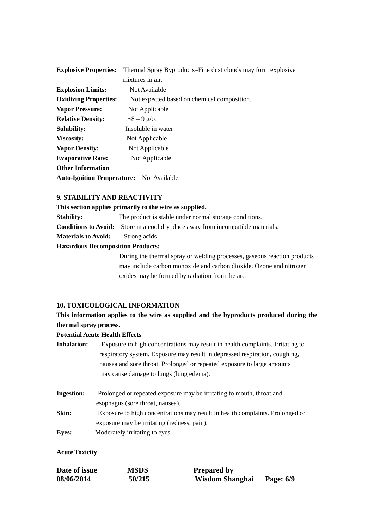| <b>Explosive Properties:</b>                    | Thermal Spray Byproducts–Fine dust clouds may form explosive |
|-------------------------------------------------|--------------------------------------------------------------|
|                                                 | mixtures in air.                                             |
| <b>Explosion Limits:</b>                        | Not Available                                                |
| <b>Oxidizing Properties:</b>                    | Not expected based on chemical composition.                  |
| <b>Vapor Pressure:</b>                          | Not Applicable                                               |
| <b>Relative Density:</b>                        | $\approx$ 8 – 9 g/cc                                         |
| <b>Solubility:</b>                              | Insoluble in water                                           |
| <b>Viscosity:</b>                               | Not Applicable                                               |
| <b>Vapor Density:</b>                           | Not Applicable                                               |
| <b>Evaporative Rate:</b>                        | Not Applicable                                               |
| <b>Other Information</b>                        |                                                              |
| <b>Auto-Ignition Temperature:</b> Not Available |                                                              |

#### **9. STABILITY AND REACTIVITY**

**This section applies primarily to the wire as supplied. Stability:** The product is stable under normal storage conditions. **Conditions to Avoid:** Store in a cool dry place away from incompatible materials. **Materials to Avoid:** Strong acids **Hazardous Decomposition Products:**

> During the thermal spray or welding processes, gaseous reaction products may include carbon monoxide and carbon dioxide. Ozone and nitrogen oxides may be formed by radiation from the arc.

#### **10. TOXICOLOGICAL INFORMATION**

#### **This information applies to the wire as supplied and the byproducts produced during the thermal spray process.**

#### **Potential Acute Health Effects**

| <b>Inhalation:</b>                                                | Exposure to high concentrations may result in health complaints. Irritating to |  |
|-------------------------------------------------------------------|--------------------------------------------------------------------------------|--|
|                                                                   | respiratory system. Exposure may result in depressed respiration, coughing,    |  |
|                                                                   | nausea and sore throat. Prolonged or repeated exposure to large amounts        |  |
|                                                                   | may cause damage to lungs (lung edema).                                        |  |
|                                                                   |                                                                                |  |
| $\mathbf{I}$ <sub>n</sub> $\alpha$ $\alpha$ <sup>1</sup> $\alpha$ | Dual an aad, ay waxaatad ayyaasuun wax ka iyyitatiya ta waxafa, thuqat ay d    |  |

| Ingestion: | Prolonged or repeated exposure may be irritating to mouth, throat and         |
|------------|-------------------------------------------------------------------------------|
|            | esophagus (sore throat, nausea).                                              |
| Skin:      | Exposure to high concentrations may result in health complaints. Prolonged or |
|            | exposure may be irritating (redness, pain).                                   |
|            | .                                                                             |

**Eyes:** Moderately irritating to eyes.

#### **Acute Toxicity**

| Date of issue | <b>MSDS</b> | <b>Prepared by</b> |           |
|---------------|-------------|--------------------|-----------|
| 08/06/2014    | 50/215      | Wisdom Shanghai    | Page: 6/9 |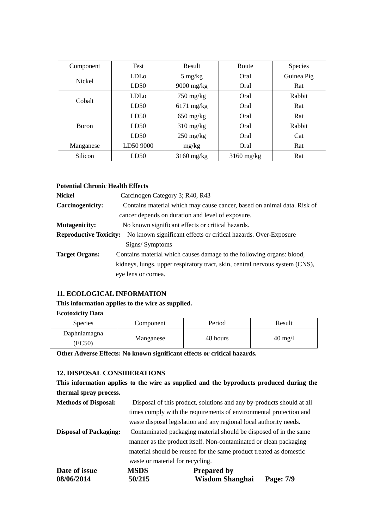| Component     | <b>Test</b>      | Result                            | Route        | <b>Species</b> |
|---------------|------------------|-----------------------------------|--------------|----------------|
| <b>Nickel</b> | LDL <sub>0</sub> | $5 \text{ mg/kg}$                 | Oral         | Guinea Pig     |
|               | LD50             | $9000$ mg/kg                      | Oral         | Rat            |
| Cobalt        | LDL <sub>o</sub> | $750 \text{ mg/kg}$               | Oral         | Rabbit         |
|               | LD50             | $6171$ mg/kg                      | Oral         | Rat            |
|               | LD50             | $650$ mg/kg                       | Oral         | Rat            |
| <b>Boron</b>  | LD50             | $310 \text{ mg/kg}$               | Oral         | Rabbit         |
|               | LD50             | $250 \frac{\text{mg}}{\text{kg}}$ | Oral         | Cat            |
| Manganese     | LD50 9000        | mg/kg                             | Oral         | Rat            |
| Silicon       | LD50             | $3160$ mg/kg                      | $3160$ mg/kg | Rat            |

#### **Potential Chronic Health Effects**

| <b>Nickel</b>                 | Carcinogen Category 3; R40, R43                                              |  |  |
|-------------------------------|------------------------------------------------------------------------------|--|--|
| <b>Carcinogenicity:</b>       | Contains material which may cause cancer, based on animal data. Risk of      |  |  |
|                               | cancer depends on duration and level of exposure.                            |  |  |
| <b>Mutagenicity:</b>          | No known significant effects or critical hazards.                            |  |  |
| <b>Reproductive Toxicity:</b> | No known significant effects or critical hazards. Over-Exposure              |  |  |
|                               | Signs/Symptoms                                                               |  |  |
| <b>Target Organs:</b>         | Contains material which causes damage to the following organs: blood,        |  |  |
|                               | kidneys, lungs, upper respiratory tract, skin, central nervous system (CNS), |  |  |
|                               | eye lens or cornea.                                                          |  |  |

#### **11. ECOLOGICAL INFORMATION**

#### **This information applies to the wire as supplied.**

#### **Ecotoxicity Data**

| <b>Species</b>        | Component | Period   | Result            |
|-----------------------|-----------|----------|-------------------|
| Daphniamagna<br>EC50) | Manganese | 48 hours | $40 \text{ mg}/1$ |

**Other Adverse Effects: No known significant effects or critical hazards.**

#### **12. DISPOSAL CONSIDERATIONS**

**This information applies to the wire as supplied and the byproducts produced during the thermal spray process.**

| <b>Methods of Disposal:</b>   |                                  | Disposal of this product, solutions and any by-products should at all |           |
|-------------------------------|----------------------------------|-----------------------------------------------------------------------|-----------|
|                               |                                  | times comply with the requirements of environmental protection and    |           |
|                               |                                  | waste disposal legislation and any regional local authority needs.    |           |
| <b>Disposal of Packaging:</b> |                                  | Contaminated packaging material should be disposed of in the same     |           |
|                               |                                  | manner as the product itself. Non-contaminated or clean packaging     |           |
|                               |                                  | material should be reused for the same product treated as domestic    |           |
|                               | waste or material for recycling. |                                                                       |           |
| Date of issue                 | <b>MSDS</b>                      | <b>Prepared by</b>                                                    |           |
| 08/06/2014                    | 50/215                           | <b>Wisdom Shanghai</b>                                                | Page: 7/9 |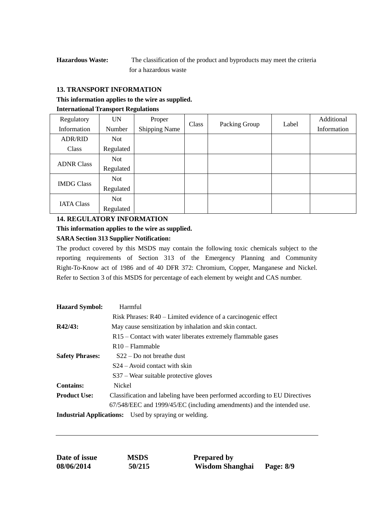**Hazardous Waste:** The classification of the product and byproducts may meet the criteria for a hazardous waste

#### **13. TRANSPORT INFORMATION**

#### **This information applies to the wire as supplied.**

#### **International Transport Regulations**

| Regulatory        | <b>UN</b>  | Proper               | Class | Packing Group | Label | Additional  |
|-------------------|------------|----------------------|-------|---------------|-------|-------------|
| Information       | Number     | <b>Shipping Name</b> |       |               |       | Information |
| <b>ADR/RID</b>    | <b>Not</b> |                      |       |               |       |             |
| Class             | Regulated  |                      |       |               |       |             |
| <b>ADNR Class</b> | <b>Not</b> |                      |       |               |       |             |
|                   | Regulated  |                      |       |               |       |             |
| <b>IMDG Class</b> | <b>Not</b> |                      |       |               |       |             |
|                   | Regulated  |                      |       |               |       |             |
| <b>IATA Class</b> | <b>Not</b> |                      |       |               |       |             |
|                   | Regulated  |                      |       |               |       |             |

#### **14. REGULATORY INFORMATION**

#### **This information applies to the wire as supplied.**

#### **SARA Section 313 Supplier Notification:**

The product covered by this MSDS may contain the following toxic chemicals subject to the reporting requirements of Section 313 of the Emergency Planning and Community Right-To-Know act of 1986 and of 40 DFR 372: Chromium, Copper, Manganese and Nickel. Refer to Section 3 of this MSDS for percentage of each element by weight and CAS number.

| <b>Hazard Symbol:</b>  | Harmful                                                                    |
|------------------------|----------------------------------------------------------------------------|
|                        | Risk Phrases: R40 – Limited evidence of a carcinogenic effect              |
| R42/43:                | May cause sensitization by inhalation and skin contact.                    |
|                        | R <sub>15</sub> – Contact with water liberates extremely flammable gases   |
|                        | $R10 - \text{Flammable}$                                                   |
| <b>Safety Phrases:</b> | $S22 - Do$ not breathe dust                                                |
|                        | $S24 -$ Avoid contact with skin                                            |
|                        | $S37$ – Wear suitable protective gloves                                    |
| <b>Contains:</b>       | Nickel                                                                     |
| <b>Product Use:</b>    | Classification and labeling have been performed according to EU Directives |
|                        | 67/548/EEC and 1999/45/EC (including amendments) and the intended use.     |
|                        | <b>Industrial Applications:</b> Used by spraying or welding.               |

| Date of issue | MS  |
|---------------|-----|
| 08/06/2014    | 50/ |

**DS** Prepared by **08/06/2014 50/215 Wisdom Shanghai Page: 8/9**